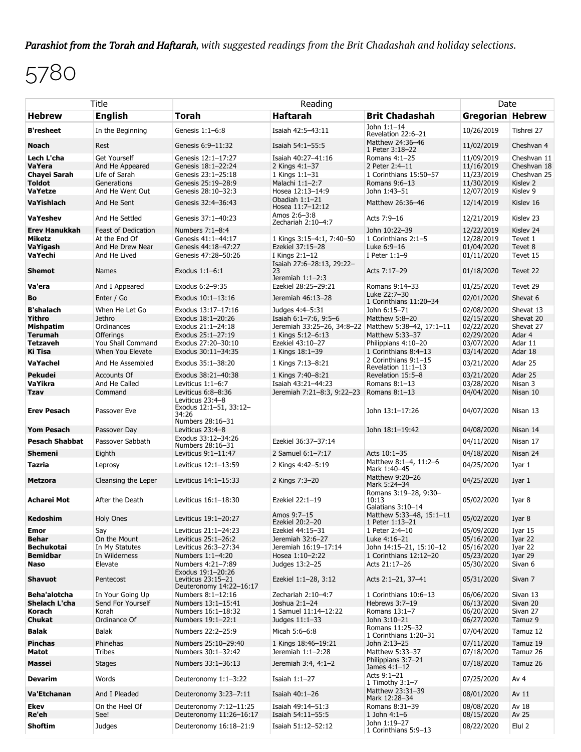*Parashiot from the Torah and Haftarah, with suggested readings from the Brit Chadashah and holiday selections.*

## 5780

| Title                                                                               |                                                                          | Reading                                                                                                 |                                                                                                                 |                                                                                                      |                                                                    | Date                                                             |  |
|-------------------------------------------------------------------------------------|--------------------------------------------------------------------------|---------------------------------------------------------------------------------------------------------|-----------------------------------------------------------------------------------------------------------------|------------------------------------------------------------------------------------------------------|--------------------------------------------------------------------|------------------------------------------------------------------|--|
| <b>Hebrew</b>                                                                       | <b>English</b>                                                           | Torah                                                                                                   | <b>Haftarah</b>                                                                                                 | <b>Brit Chadashah</b>                                                                                | Gregorian Hebrew                                                   |                                                                  |  |
| <b>B'resheet</b>                                                                    | In the Beginning                                                         | Genesis 1:1-6:8                                                                                         | Isaiah 42:5-43:11                                                                                               | John 1:1-14<br>Revelation 22:6-21                                                                    | 10/26/2019                                                         | Tishrei 27                                                       |  |
| <b>Noach</b>                                                                        | Rest                                                                     | Genesis 6:9-11:32                                                                                       | Isaiah 54:1-55:5                                                                                                | Matthew 24:36-46<br>1 Peter 3:18-22                                                                  | 11/02/2019                                                         | Cheshvan 4                                                       |  |
| Lech L'cha<br><b>VaYera</b><br>Chayei Sarah<br><b>Toldot</b>                        | <b>Get Yourself</b><br>And He Appeared<br>Life of Sarah<br>Generations   | Genesis 12:1-17:27<br>Genesis 18:1-22:24<br>Genesis 23:1-25:18<br>Genesis 25:19-28:9                    | Isaiah 40:27-41:16<br>2 Kings 4:1-37<br>1 Kings 1:1-31<br>Malachi 1:1-2:7                                       | Romans 4:1-25<br>2 Peter 2:4-11<br>1 Corinthians 15:50-57<br>Romans 9:6-13                           | 11/09/2019<br>11/16/2019<br>11/23/2019<br>11/30/2019               | Cheshvan 11<br>Cheshvan 18<br>Cheshvan 25<br>Kislev <sub>2</sub> |  |
| VaYetze<br>VaYishlach                                                               | And He Went Out<br>And He Sent                                           | Genesis 28:10-32:3<br>Genesis 32:4-36:43                                                                | Hosea 12:13-14:9<br>Obadiah 1:1-21<br>Hosea 11:7-12:12                                                          | John 1:43-51<br>Matthew 26:36-46                                                                     | 12/07/2019<br>12/14/2019                                           | Kislev 9<br>Kislev 16                                            |  |
| <b>VaYeshev</b>                                                                     | And He Settled                                                           | Genesis 37:1-40:23                                                                                      | Amos 2:6-3:8<br>Zechariah 2:10-4:7                                                                              | Acts 7:9-16                                                                                          | 12/21/2019                                                         | Kislev <sub>23</sub>                                             |  |
| <b>Erev Hanukkah</b><br>Miketz<br>VaYigash<br>VaYechi                               | Feast of Dedication<br>At the End Of<br>And He Drew Near<br>And He Lived | Numbers 7:1-8:4<br>Genesis 41:1-44:17<br>Genesis 44:18-47:27<br>Genesis 47:28-50:26                     | 1 Kings 3:15-4:1, 7:40-50<br>Ezekiel 37:15-28<br>I Kings 2:1-12                                                 | John 10:22-39<br>1 Corinthians 2:1-5<br>Luke 6:9-16<br>I Peter $1:1-9$                               | 12/22/2019<br>12/28/2019<br>01/04/2020<br>01/11/2020               | Kislev 24<br>Tevet 1<br>Tevet 8<br>Tevet 15                      |  |
| <b>Shemot</b>                                                                       | <b>Names</b>                                                             | Exodus 1:1-6:1                                                                                          | Isaiah 27:6-28:13, 29:22-<br>23<br>Jeremiah 1:1-2:3                                                             | Acts 7:17-29                                                                                         | 01/18/2020                                                         | Tevet 22                                                         |  |
| Va'era                                                                              | And I Appeared                                                           | Exodus 6:2-9:35                                                                                         | Ezekiel 28:25-29:21                                                                                             | Romans 9:14-33                                                                                       | 01/25/2020                                                         | Tevet 29                                                         |  |
| Bo                                                                                  | Enter / Go                                                               | Exodus 10:1-13:16                                                                                       | Jeremiah 46:13-28                                                                                               | Luke 22:7-30<br>1 Corinthians 11:20-34                                                               | 02/01/2020                                                         | Shevat 6                                                         |  |
| <b>B'shalach</b><br>Yithro<br><b>Mishpatim</b><br><b>Terumah</b><br><b>Tetzaveh</b> | When He Let Go<br>Jethro<br>Ordinances<br>Offerings<br>You Shall Command | Exodus 13:17-17:16<br>Exodus 18:1-20:26<br>Exodus 21:1-24:18<br>Exodus 25:1-27:19<br>Exodus 27:20-30:10 | Judges 4:4-5:31<br>Isaiah 6:1-7:6, 9:5-6<br>Jeremiah 33:25-26, 34:8-22<br>1 Kings 5:12-6:13<br>Ezekiel 43:10-27 | John 6:15-71<br>Matthew 5:8-20<br>Matthew 5:38-42, 17:1-11<br>Matthew 5:33-37<br>Philippians 4:10-20 | 02/08/2020<br>02/15/2020<br>02/22/2020<br>02/29/2020<br>03/07/2020 | Shevat 13<br>Shevat 20<br>Shevat 27<br>Adar 4<br>Adar 11         |  |
| Ki Tisa                                                                             | When You Elevate                                                         | Exodus 30:11-34:35                                                                                      | 1 Kings 18:1-39                                                                                                 | 1 Corinthians 8:4-13<br>2 Corinthians 9:1-15                                                         | 03/14/2020                                                         | Adar 18                                                          |  |
| VaYachel                                                                            | And He Assembled                                                         | Exodus 35:1-38:20                                                                                       | 1 Kings 7:13-8:21                                                                                               | Revelation 11:1-13                                                                                   | 03/21/2020                                                         | Adar 25                                                          |  |
| Pekudei<br>VaYikra                                                                  | <b>Accounts Of</b><br>And He Called                                      | Exodus 38:21-40:38<br>Leviticus 1:1-6:7                                                                 | 1 Kings 7:40-8:21<br>Isaiah 43:21-44:23                                                                         | Revelation 15:5-8<br>Romans 8:1-13                                                                   | 03/21/2020<br>03/28/2020                                           | Adar 25<br>Nisan 3                                               |  |
| <b>Tzav</b>                                                                         | Command                                                                  | Leviticus 6:8-8:36                                                                                      | Jeremiah 7:21-8:3, 9:22-23                                                                                      | Romans $8:1-13$                                                                                      | 04/04/2020                                                         | Nisan 10                                                         |  |
| <b>Erev Pesach</b>                                                                  | Passover Eve                                                             | Leviticus 23:4-8<br>Exodus 12:1-51, 33:12-<br>34:26<br>Numbers 28:16-31                                 |                                                                                                                 | John 13:1-17:26                                                                                      | 04/07/2020                                                         | Nisan 13                                                         |  |
| <b>Yom Pesach</b>                                                                   | Passover Day                                                             | Leviticus 23:4-8                                                                                        |                                                                                                                 | John 18:1-19:42                                                                                      | 04/08/2020                                                         | Nisan 14                                                         |  |
| <b>Pesach Shabbat</b>                                                               | Passover Sabbath                                                         | Exodus 33:12-34:26<br>Numbers 28:16-31                                                                  | Ezekiel 36:37-37:14                                                                                             |                                                                                                      | 04/11/2020                                                         | Nisan 17                                                         |  |
| <b>Shemeni</b>                                                                      | Eighth                                                                   | Leviticus 9:1-11:47                                                                                     | 2 Samuel 6:1-7:17                                                                                               | Acts 10:1-35                                                                                         | 04/18/2020                                                         | Nisan 24                                                         |  |
| Tazria                                                                              | Leprosy                                                                  | Leviticus 12:1-13:59                                                                                    | 2 Kings 4:42-5:19                                                                                               | Matthew 8:1-4, 11:2-6<br>Mark 1:40-45                                                                | 04/25/2020                                                         | Iyar 1                                                           |  |
| <b>Metzora</b>                                                                      | Cleansing the Leper                                                      | Leviticus 14:1-15:33                                                                                    | 2 Kings 7:3-20                                                                                                  | Matthew 9:20-26<br>Mark 5:24-34                                                                      | 04/25/2020                                                         | Iyar 1                                                           |  |
| Acharei Mot                                                                         | After the Death                                                          | Leviticus 16:1-18:30                                                                                    | Ezekiel 22:1-19                                                                                                 | Romans 3:19-28, 9:30-<br>10:13<br>Galatians 3:10-14                                                  | 05/02/2020                                                         | Iyar 8                                                           |  |
| Kedoshim                                                                            | <b>Holy Ones</b>                                                         | Leviticus 19:1-20:27                                                                                    | Amos 9:7-15<br>Ezekiel 20:2-20                                                                                  | Matthew 5:33-48, 15:1-11<br>1 Peter 1:13-21                                                          | 05/02/2020                                                         | Iyar 8                                                           |  |
| Emor                                                                                | Say                                                                      | Leviticus 21:1-24:23                                                                                    | Ezekiel 44:15-31                                                                                                | 1 Peter 2:4-10                                                                                       | 05/09/2020                                                         | Iyar 15                                                          |  |
| Behar                                                                               | On the Mount                                                             | Leviticus 25:1-26:2                                                                                     | Jeremiah 32:6-27<br>Jeremiah 16:19-17:14                                                                        | Luke 4:16-21                                                                                         | 05/16/2020                                                         | Iyar 22                                                          |  |
| <b>Bechukotai</b><br><b>Bemidbar</b>                                                | In My Statutes<br>In Wilderness                                          | Leviticus 26:3-27:34<br>Numbers 1:1-4:20                                                                | Hosea 1:10-2:22                                                                                                 | John 14:15-21, 15:10-12<br>1 Corinthians 12:12-20                                                    | 05/16/2020<br>05/23/2020                                           | Iyar 22<br>Iyar 29                                               |  |
| Naso                                                                                | Elevate                                                                  | Numbers 4:21-7:89<br>Exodus 19:1-20:26                                                                  | Judges 13:2-25                                                                                                  | Acts 21:17-26                                                                                        | 05/30/2020                                                         | Sivan 6                                                          |  |
| <b>Shavuot</b>                                                                      | Pentecost                                                                | Leviticus 23:15-21<br>Deuteronomy 14:22-16:17                                                           | Ezekiel 1:1-28, 3:12                                                                                            | Acts 2:1-21, 37-41                                                                                   | 05/31/2020                                                         | Sivan 7                                                          |  |
| Beha'alotcha                                                                        | In Your Going Up                                                         | Numbers 8:1-12:16                                                                                       | Zechariah 2:10-4:7                                                                                              | 1 Corinthians 10:6-13                                                                                | 06/06/2020                                                         | Sivan 13                                                         |  |
| Shelach L'cha                                                                       | Send For Yourself                                                        | Numbers 13:1-15:41                                                                                      | Joshua 2:1-24                                                                                                   | Hebrews 3:7-19                                                                                       | 06/13/2020                                                         | Sivan 20                                                         |  |
| Korach                                                                              | Korah                                                                    | Numbers 16:1-18:32                                                                                      | 1 Samuel 11:14-12:22                                                                                            | Romans 13:1-7                                                                                        | 06/20/2020                                                         | Sivan 27                                                         |  |
| <b>Chukat</b>                                                                       | Ordinance Of                                                             | Numbers 19:1-22:1                                                                                       | Judges 11:1-33                                                                                                  | John 3:10-21                                                                                         | 06/27/2020                                                         | Tamuz 9                                                          |  |
| Balak<br><b>Pinchas</b>                                                             | <b>Balak</b><br>Phinehas                                                 | Numbers 22:2-25:9<br>Numbers 25:10-29:40                                                                | Micah 5:6-6:8<br>1 Kings 18:46-19:21                                                                            | Romans 11:25-32<br>1 Corinthians 1:20-31<br>John 2:13-25                                             | 07/04/2020<br>07/11/2020                                           | Tamuz 12<br>Tamuz 19                                             |  |
| Matot                                                                               | Tribes                                                                   | Numbers 30:1-32:42                                                                                      | Jeremiah 1:1-2:28                                                                                               | Matthew 5:33-37                                                                                      | 07/18/2020                                                         | Tamuz 26                                                         |  |
| Massei                                                                              | Stages                                                                   | Numbers 33:1-36:13                                                                                      | Jeremiah 3:4, 4:1-2                                                                                             | Philippians 3:7-21<br>James $4:1-12$                                                                 | 07/18/2020                                                         | Tamuz 26                                                         |  |
| <b>Devarim</b>                                                                      | Words                                                                    | Deuteronomy 1:1-3:22                                                                                    | Isaiah 1:1-27                                                                                                   | Acts 9:1-21<br>1 Timothy $3:1-7$                                                                     | 07/25/2020                                                         | Av $4$                                                           |  |
| Va'Etchanan                                                                         | And I Pleaded                                                            | Deuteronomy 3:23-7:11                                                                                   | Isaiah 40:1-26                                                                                                  | Matthew 23:31-39<br>Mark 12:28-34                                                                    | 08/01/2020                                                         | Av 11                                                            |  |
| Ekev                                                                                | On the Heel Of                                                           | Deuteronomy 7:12-11:25                                                                                  | Isaiah 49:14-51:3                                                                                               | Romans 8:31-39                                                                                       | 08/08/2020                                                         | Av 18                                                            |  |
| Re'eh                                                                               | See!                                                                     | Deuteronomy 11:26-16:17                                                                                 | Isaiah 54:11-55:5                                                                                               | 1 John $4:1-6$                                                                                       | 08/15/2020                                                         | Av 25                                                            |  |
| <b>Shoftim</b>                                                                      | Judges                                                                   | Deuteronomy 16:18-21:9                                                                                  | Isaiah 51:12-52:12                                                                                              | John 1:19-27<br>1 Corinthians 5:9-13                                                                 | 08/22/2020                                                         | Elul 2                                                           |  |